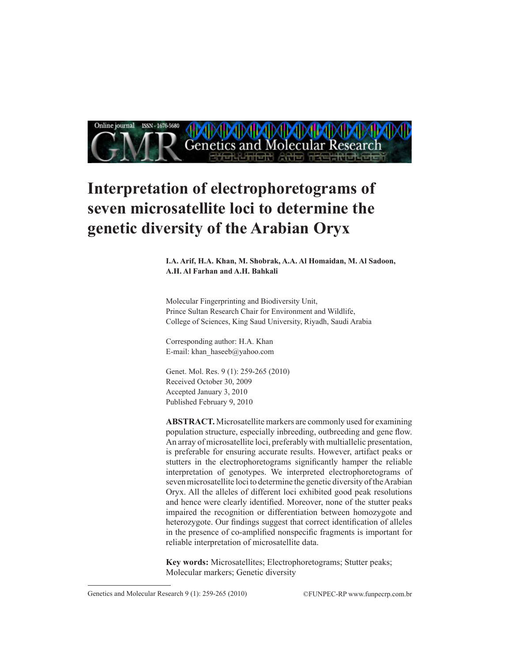

# **Interpretation of electrophoretograms of seven microsatellite loci to determine the genetic diversity of the Arabian Oryx**

**I.A. Arif, H.A. Khan, M. Shobrak, A.A. Al Homaidan, M. Al Sadoon, A.H. Al Farhan and A.H. Bahkali** 

Molecular Fingerprinting and Biodiversity Unit, Prince Sultan Research Chair for Environment and Wildlife, College of Sciences, King Saud University, Riyadh, Saudi Arabia

Corresponding author: H.A. Khan E-mail: khan\_haseeb@yahoo.com

Genet. Mol. Res. 9 (1): 259-265 (2010) Received October 30, 2009 Accepted January 3, 2010 Published February 9, 2010

**ABSTRACT.** Microsatellite markers are commonly used for examining population structure, especially inbreeding, outbreeding and gene flow. An array of microsatellite loci, preferably with multiallelic presentation, is preferable for ensuring accurate results. However, artifact peaks or stutters in the electrophoretograms significantly hamper the reliable interpretation of genotypes. We interpreted electrophoretograms of seven microsatellite loci to determine the genetic diversity of the Arabian Oryx. All the alleles of different loci exhibited good peak resolutions and hence were clearly identified. Moreover, none of the stutter peaks impaired the recognition or differentiation between homozygote and heterozygote. Our findings suggest that correct identification of alleles in the presence of co-amplified nonspecific fragments is important for reliable interpretation of microsatellite data.

**Key words:** Microsatellites; Electrophoretograms; Stutter peaks; Molecular markers; Genetic diversity

Genetics and Molecular Research 9 (1): 259-265 (2010) ©FUNPEC-RP www.funpecrp.com.br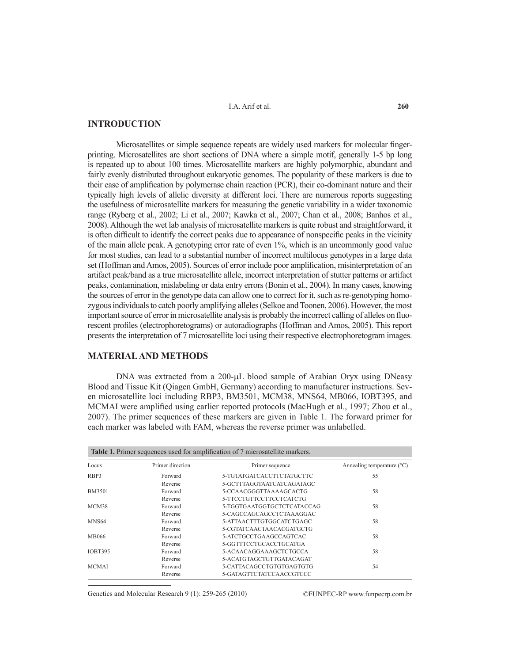I.A. Arif et al.

## **INTRODUCTION**

Microsatellites or simple sequence repeats are widely used markers for molecular fingerprinting. Microsatellites are short sections of DNA where a simple motif, generally 1-5 bp long is repeated up to about 100 times. Microsatellite markers are highly polymorphic, abundant and fairly evenly distributed throughout eukaryotic genomes. The popularity of these markers is due to their ease of amplification by polymerase chain reaction (PCR), their co-dominant nature and their typically high levels of allelic diversity at different loci. There are numerous reports suggesting the usefulness of microsatellite markers for measuring the genetic variability in a wider taxonomic range (Ryberg et al., 2002; Li et al., 2007; Kawka et al., 2007; Chan et al., 2008; Banhos et al., 2008). Although the wet lab analysis of microsatellite markers is quite robust and straightforward, it is often difficult to identify the correct peaks due to appearance of nonspecific peaks in the vicinity of the main allele peak. A genotyping error rate of even 1%, which is an uncommonly good value for most studies, can lead to a substantial number of incorrect multilocus genotypes in a large data set (Hoffman and Amos, 2005). Sources of error include poor amplification, misinterpretation of an artifact peak/band as a true microsatellite allele, incorrect interpretation of stutter patterns or artifact peaks, contamination, mislabeling or data entry errors (Bonin et al., 2004). In many cases, knowing the sources of error in the genotype data can allow one to correct for it, such as re-genotyping homozygous individuals to catch poorly amplifying alleles (Selkoe and Toonen, 2006). However, the most important source of error in microsatellite analysis is probably the incorrect calling of alleles on fluorescent profiles (electrophoretograms) or autoradiographs (Hoffman and Amos, 2005). This report presents the interpretation of 7 microsatellite loci using their respective electrophoretogram images.

#### **MATERIAL AND METHODS**

DNA was extracted from a 200-µL blood sample of Arabian Oryx using DNeasy Blood and Tissue Kit (Qiagen GmbH, Germany) according to manufacturer instructions. Seven microsatellite loci including RBP3, BM3501, MCM38, MNS64, MB066, IOBT395, and MCMAI were amplified using earlier reported protocols (MacHugh et al., 1997; Zhou et al., 2007). The primer sequences of these markers are given in Table 1. The forward primer for each marker was labeled with FAM, whereas the reverse primer was unlabelled.

| Table 1. Primer sequences used for amplification of 7 microsatellite markers. |                  |                            |                                     |
|-------------------------------------------------------------------------------|------------------|----------------------------|-------------------------------------|
| Locus                                                                         | Primer direction | Primer sequence            | Annealing temperature $(^{\circ}C)$ |
| RBP3                                                                          | Forward          | 5-TGTATGATCACCTTCTATGCTTC  | 55                                  |
|                                                                               | Reverse          | 5-GCTTTAGGTAATCATCAGATAGC  |                                     |
| <b>BM3501</b>                                                                 | Forward          | 5-CCAACGGGTTAAAAGCACTG     | 58                                  |
|                                                                               | Reverse          | 5-TTCCTGTTCCTTCCTCATCTG    |                                     |
| MCM38                                                                         | Forward          | 5-TGGTGAATGGTGCTCTCATACCAG | 58                                  |
|                                                                               | Reverse          | 5-CAGCCAGCAGCCTCTAAAGGAC   |                                     |
| MNS <sub>64</sub>                                                             | Forward          | 5-ATTAACTTTGTGGCATCTGAGC   | 58                                  |
|                                                                               | Reverse          | 5-CGTATCAACTAACACGATGCTG   |                                     |
| MB066                                                                         | Forward          | 5-ATCTGCCTGAAGCCAGTCAC     | 58                                  |
|                                                                               | Reverse          | 5-GGTTTCCTGCACCTGCATGA     |                                     |
| <b>IOBT395</b>                                                                | Forward          | 5-ACAACAGGAAAGCTCTGCCA     | 58                                  |
|                                                                               | Reverse          | 5-ACATGTAGCTGTTGATACAGAT   |                                     |
| <b>MCMAI</b>                                                                  | Forward          | 5-CATTACAGCCTGTGTGAGTGTG   | 54                                  |
|                                                                               | Reverse          | 5-GATAGTTCTATCCAACCGTCCC   |                                     |

Genetics and Molecular Research 9 (1): 259-265 (2010) ©FUNPEC-RP www.funpecrp.com.br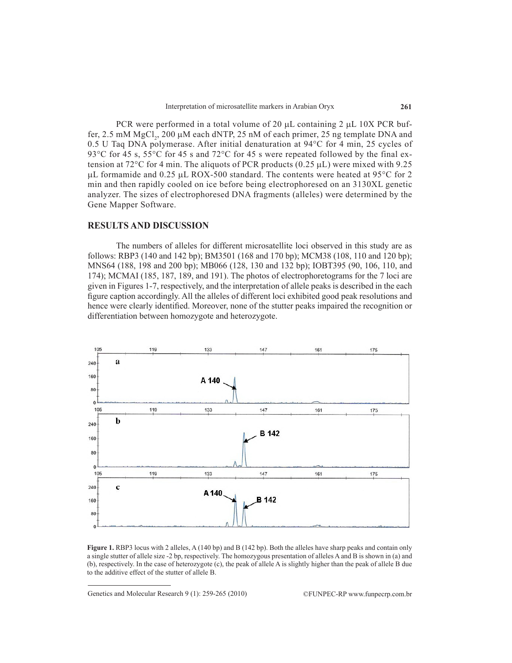PCR were performed in a total volume of 20  $\mu$ L containing 2  $\mu$ L 10X PCR buffer, 2.5 mM  $MgCl<sub>2</sub>$ , 200 µM each dNTP, 25 nM of each primer, 25 ng template DNA and 0.5 U Taq DNA polymerase. After initial denaturation at 94°C for 4 min, 25 cycles of 93 $\degree$ C for 45 s, 55 $\degree$ C for 45 s and 72 $\degree$ C for 45 s were repeated followed by the final extension at  $72^{\circ}$ C for 4 min. The aliquots of PCR products (0.25 µL) were mixed with 9.25  $\mu$ L formamide and 0.25  $\mu$ L ROX-500 standard. The contents were heated at 95°C for 2 min and then rapidly cooled on ice before being electrophoresed on an 3130XL genetic analyzer. The sizes of electrophoresed DNA fragments (alleles) were determined by the Gene Mapper Software.

## **RESULTS AND DISCUSSION**

The numbers of alleles for different microsatellite loci observed in this study are as follows: RBP3 (140 and 142 bp); BM3501 (168 and 170 bp); MCM38 (108, 110 and 120 bp); MNS64 (188, 198 and 200 bp); MB066 (128, 130 and 132 bp); IOBT395 (90, 106, 110, and 174); MCMAI (185, 187, 189, and 191). The photos of electrophoretograms for the 7 loci are given in Figures 1-7, respectively, and the interpretation of allele peaks is described in the each figure caption accordingly. All the alleles of different loci exhibited good peak resolutions and hence were clearly identified. Moreover, none of the stutter peaks impaired the recognition or differentiation between homozygote and heterozygote.



**Figure 1.** RBP3 locus with 2 alleles, A (140 bp) and B (142 bp). Both the alleles have sharp peaks and contain only a single stutter of allele size -2 bp, respectively. The homozygous presentation of alleles A and B is shown in (a) and (b), respectively. In the case of heterozygote (c), the peak of allele A is slightly higher than the peak of allele B due to the additive effect of the stutter of allele B.

Genetics and Molecular Research 9 (1): 259-265 (2010) ©FUNPEC-RP www.funpecrp.com.br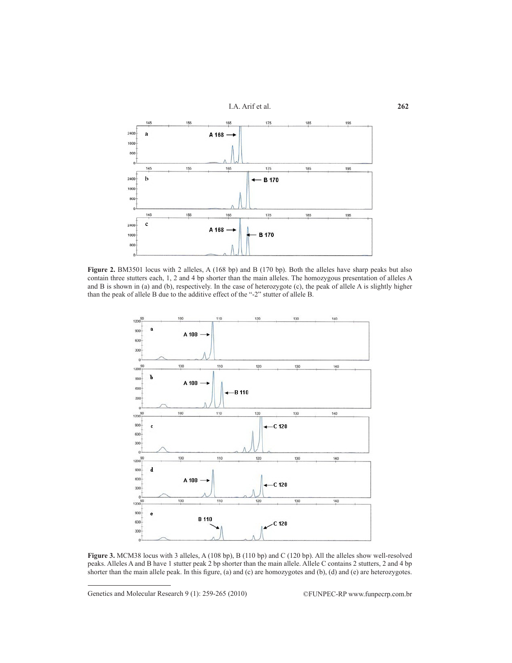

**Figure 2.** BM3501 locus with 2 alleles, A (168 bp) and B (170 bp). Both the alleles have sharp peaks but also contain three stutters each, 1, 2 and 4 bp shorter than the main alleles. The homozygous presentation of alleles A and B is shown in (a) and (b), respectively. In the case of heterozygote (c), the peak of allele A is slightly higher than the peak of allele B due to the additive effect of the "-2" stutter of allele B.



**Figure 3.** MCM38 locus with 3 alleles, A (108 bp), B (110 bp) and C (120 bp). All the alleles show well-resolved peaks. Alleles A and B have 1 stutter peak 2 bp shorter than the main allele. Allele C contains 2 stutters, 2 and 4 bp shorter than the main allele peak. In this figure, (a) and (c) are homozygotes and (b), (d) and (e) are heterozygotes.

Genetics and Molecular Research 9 (1): 259-265 (2010) ©FUNPEC-RP www.funpecrp.com.br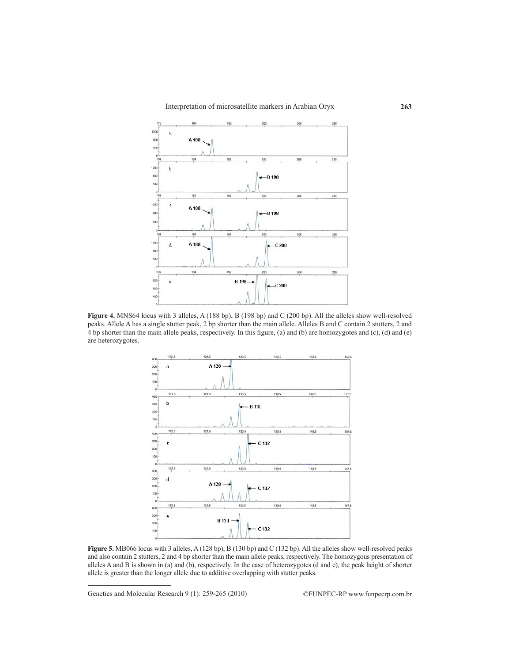

**Figure 4.** MNS64 locus with 3 alleles, A (188 bp), B (198 bp) and C (200 bp). All the alleles show well-resolved peaks. Allele A has a single stutter peak, 2 bp shorter than the main allele. Alleles B and C contain 2 stutters, 2 and 4 bp shorter than the main allele peaks, respectively. In this figure, (a) and (b) are homozygotes and (c), (d) and (e) are heterozygotes.



**Figure 5.** MB066 locus with 3 alleles, A (128 bp), B (130 bp) and C (132 bp). All the alleles show well-resolved peaks and also contain 2 stutters, 2 and 4 bp shorter than the main allele peaks, respectively. The homozygous presentation of alleles A and B is shown in (a) and (b), respectively. In the case of heterozygotes (d and e), the peak height of shorter allele is greater than the longer allele due to additive overlapping with stutter peaks.

Genetics and Molecular Research 9 (1): 259-265 (2010) ©FUNPEC-RP www.funpecrp.com.br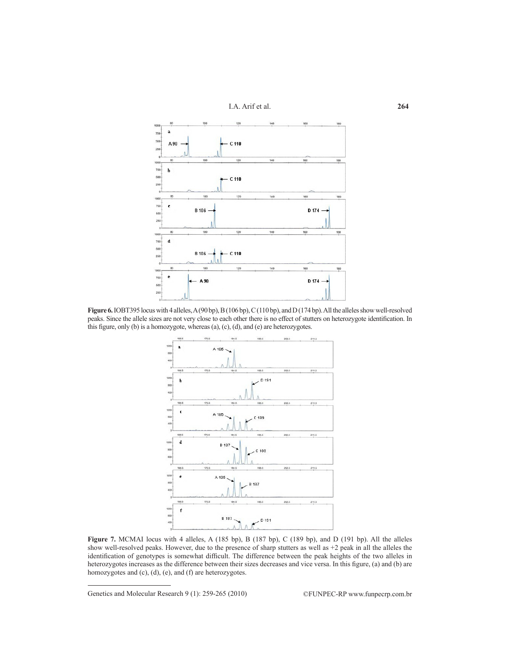



**Figure 6.** IOBT395 locus with 4 alleles, A (90 bp), B (106 bp), C (110 bp), and D (174 bp). All the alleles show well-resolved peaks. Since the allele sizes are not very close to each other there is no effect of stutters on heterozygote identification. In this figure, only (b) is a homozygote, whereas (a), (c), (d), and (e) are heterozygotes.



**Figure 7.** MCMAI locus with 4 alleles, A (185 bp), B (187 bp), C (189 bp), and D (191 bp). All the alleles show well-resolved peaks. However, due to the presence of sharp stutters as well as +2 peak in all the alleles the identification of genotypes is somewhat difficult. The difference between the peak heights of the two alleles in heterozygotes increases as the difference between their sizes decreases and vice versa. In this figure, (a) and (b) are homozygotes and (c), (d), (e), and (f) are heterozygotes.

Genetics and Molecular Research 9 (1): 259-265 (2010) ©FUNPEC-RP www.funpecrp.com.br